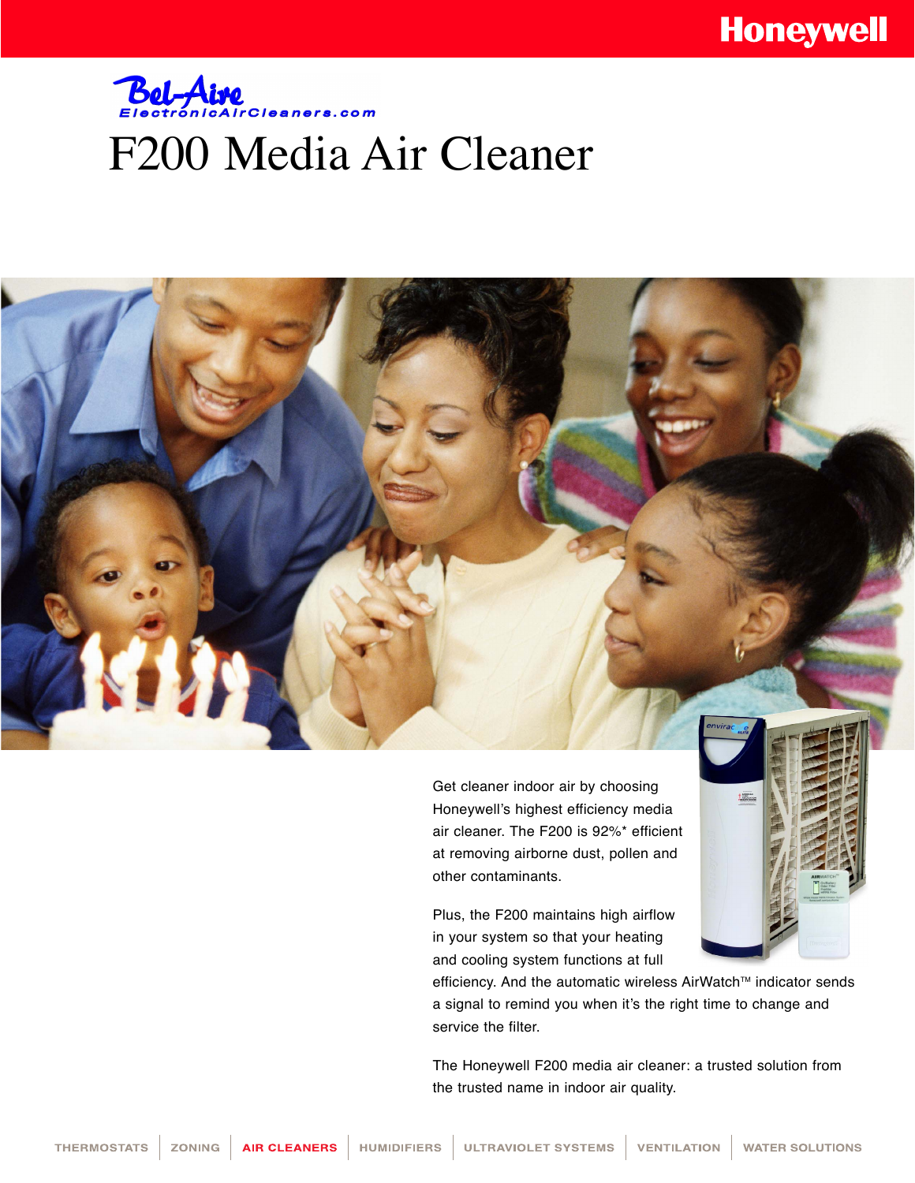## **Bel-Aire** F200 Media Air Cleaner

Get cleaner indoor air by choosing Honeywell's highest efficiency media air cleaner. The F200 is 92%\* efficient at removing airborne dust, pollen and other contaminants.

Plus, the F200 maintains high airflow in your system so that your heating and cooling system functions at full

efficiency. And the automatic wireless AirWatch™ indicator sends a signal to remind you when it's the right time to change and service the filter.

The Honeywell F200 media air cleaner: a trusted solution from the trusted name in indoor air quality.